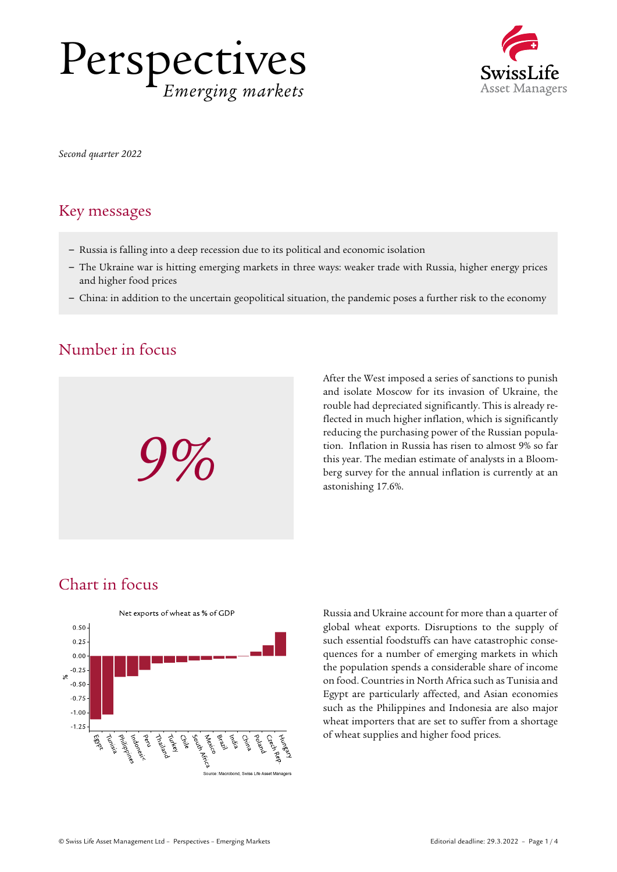



*Second quarter 2022* 

#### Key messages

- Russia is falling into a deep recession due to its political and economic isolation
- The Ukraine war is hitting emerging markets in three ways: weaker trade with Russia, higher energy prices and higher food prices
- China: in addition to the uncertain geopolitical situation, the pandemic poses a further risk to the economy

### Number in focus



After the West imposed a series of sanctions to punish and isolate Moscow for its invasion of Ukraine, the rouble had depreciated significantly. This is already reflected in much higher inflation, which is significantly reducing the purchasing power of the Russian population. Inflation in Russia has risen to almost 9% so far this year. The median estimate of analysts in a Bloom-Featuring the purchasing power of the Russian population. Inflation in Russia has risen to almost 9% so far<br>this year. The median estimate of analysts in a Bloom-<br>berg survey for the annual inflation is currently at an<br>ast astonishing 17.6%.

## Chart in focus



Russia and Ukraine account for more than a quarter of global wheat exports. Disruptions to the supply of such essential foodstuffs can have catastrophic consequences for a number of emerging markets in which the population spends a considerable share of income on food. Countries in North Africa such as Tunisia and Egypt are particularly affected, and Asian economies such as the Philippines and Indonesia are also major wheat importers that are set to suffer from a shortage of wheat supplies and higher food prices.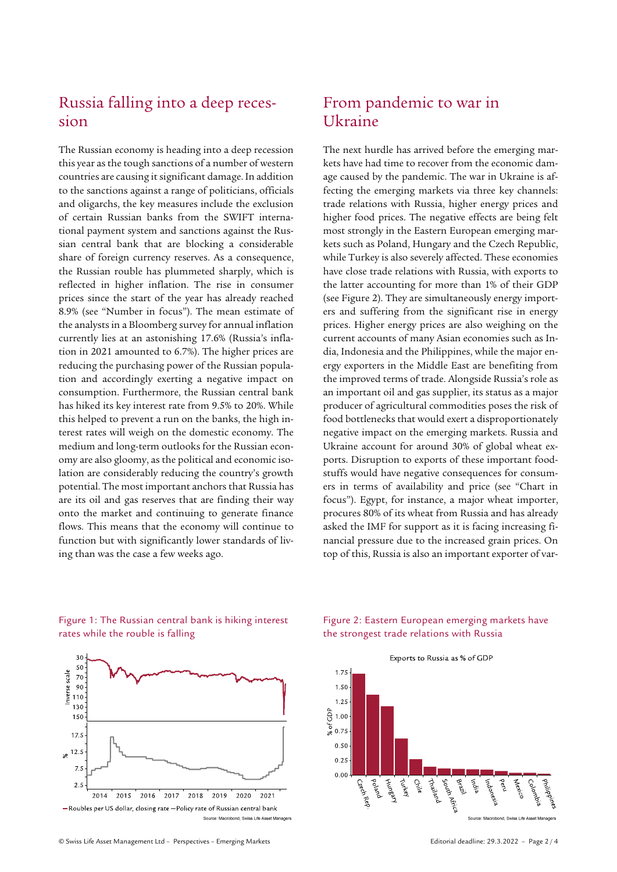# Russia falling into a deep recession

The Russian economy is heading into a deep recession this year as the tough sanctions of a number of western countries are causing it significant damage. In addition to the sanctions against a range of politicians, officials and oligarchs, the key measures include the exclusion of certain Russian banks from the SWIFT international payment system and sanctions against the Russian central bank that are blocking a considerable share of foreign currency reserves. As a consequence, the Russian rouble has plummeted sharply, which is reflected in higher inflation. The rise in consumer prices since the start of the year has already reached 8.9% (see "Number in focus"). The mean estimate of the analysts in a Bloomberg survey for annual inflation currently lies at an astonishing 17.6% (Russia's inflation in 2021 amounted to 6.7%). The higher prices are reducing the purchasing power of the Russian population and accordingly exerting a negative impact on consumption. Furthermore, the Russian central bank has hiked its key interest rate from 9.5% to 20%. While this helped to prevent a run on the banks, the high interest rates will weigh on the domestic economy. The medium and long-term outlooks for the Russian economy are also gloomy, as the political and economic isolation are considerably reducing the country's growth potential. The most important anchors that Russia has are its oil and gas reserves that are finding their way onto the market and continuing to generate finance flows. This means that the economy will continue to function but with significantly lower standards of living than was the case a few weeks ago.

## From pandemic to war in Ukraine

The next hurdle has arrived before the emerging markets have had time to recover from the economic damage caused by the pandemic. The war in Ukraine is affecting the emerging markets via three key channels: trade relations with Russia, higher energy prices and higher food prices. The negative effects are being felt most strongly in the Eastern European emerging markets such as Poland, Hungary and the Czech Republic, while Turkey is also severely affected. These economies have close trade relations with Russia, with exports to the latter accounting for more than 1% of their GDP (see Figure 2). They are simultaneously energy importers and suffering from the significant rise in energy prices. Higher energy prices are also weighing on the current accounts of many Asian economies such as India, Indonesia and the Philippines, while the major energy exporters in the Middle East are benefiting from the improved terms of trade. Alongside Russia's role as an important oil and gas supplier, its status as a major producer of agricultural commodities poses the risk of food bottlenecks that would exert a disproportionately negative impact on the emerging markets. Russia and Ukraine account for around 30% of global wheat exports. Disruption to exports of these important foodstuffs would have negative consequences for consumers in terms of availability and price (see "Chart in focus"). Egypt, for instance, a major wheat importer, procures 80% of its wheat from Russia and has already asked the IMF for support as it is facing increasing financial pressure due to the increased grain prices. On top of this, Russia is also an important exporter of var-



Figure 1: The Russian central bank is hiking interest rates while the rouble is falling

#### Figure 2: Eastern European emerging markets have the strongest trade relations with Russia

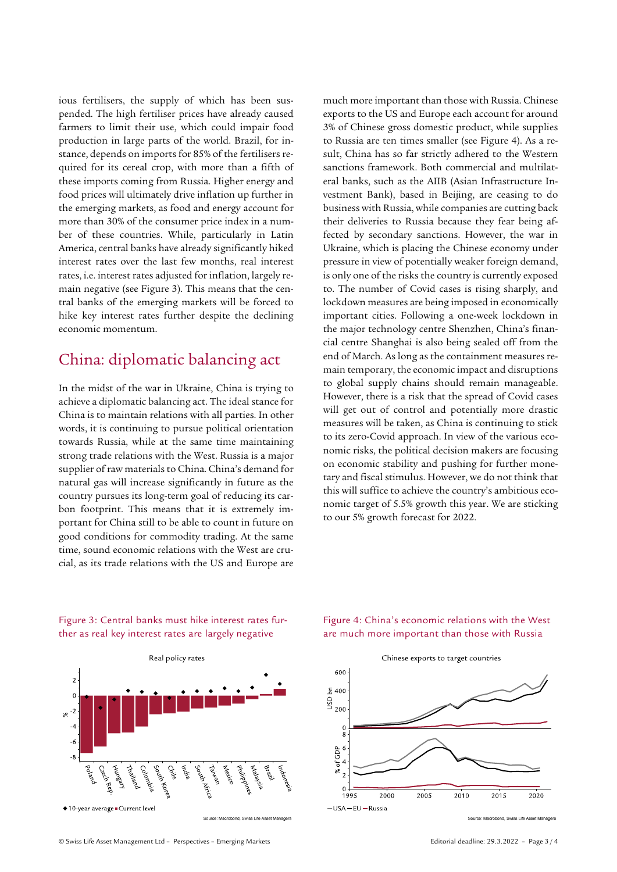ious fertilisers, the supply of which has been suspended. The high fertiliser prices have already caused farmers to limit their use, which could impair food production in large parts of the world. Brazil, for instance, depends on imports for 85% of the fertilisers required for its cereal crop, with more than a fifth of these imports coming from Russia. Higher energy and food prices will ultimately drive inflation up further in the emerging markets, as food and energy account for more than 30% of the consumer price index in a number of these countries. While, particularly in Latin America, central banks have already significantly hiked interest rates over the last few months, real interest rates, i.e. interest rates adjusted for inflation, largely remain negative (see Figure 3). This means that the central banks of the emerging markets will be forced to hike key interest rates further despite the declining economic momentum.

### China: diplomatic balancing act

In the midst of the war in Ukraine, China is trying to achieve a diplomatic balancing act. The ideal stance for China is to maintain relations with all parties. In other words, it is continuing to pursue political orientation towards Russia, while at the same time maintaining strong trade relations with the West. Russia is a major supplier of raw materials to China. China's demand for natural gas will increase significantly in future as the country pursues its long-term goal of reducing its carbon footprint. This means that it is extremely important for China still to be able to count in future on good conditions for commodity trading. At the same time, sound economic relations with the West are crucial, as its trade relations with the US and Europe are much more important than those with Russia. Chinese exports to the US and Europe each account for around 3% of Chinese gross domestic product, while supplies to Russia are ten times smaller (see Figure 4). As a result, China has so far strictly adhered to the Western sanctions framework. Both commercial and multilateral banks, such as the AIIB (Asian Infrastructure Investment Bank), based in Beijing, are ceasing to do business with Russia, while companies are cutting back their deliveries to Russia because they fear being affected by secondary sanctions. However, the war in Ukraine, which is placing the Chinese economy under pressure in view of potentially weaker foreign demand, is only one of the risks the country is currently exposed to. The number of Covid cases is rising sharply, and lockdown measures are being imposed in economically important cities. Following a one-week lockdown in the major technology centre Shenzhen, China's financial centre Shanghai is also being sealed off from the end of March. As long as the containment measures remain temporary, the economic impact and disruptions to global supply chains should remain manageable. However, there is a risk that the spread of Covid cases will get out of control and potentially more drastic measures will be taken, as China is continuing to stick to its zero-Covid approach. In view of the various economic risks, the political decision makers are focusing on economic stability and pushing for further monetary and fiscal stimulus. However, we do not think that this will suffice to achieve the country's ambitious economic target of 5.5% growth this year. We are sticking to our 5% growth forecast for 2022.



Figure 3: Central banks must hike interest rates further as real key interest rates are largely negative

Source: Macrobond, Swiss Life Asset Managers

#### Figure 4: China's economic relations with the West are much more important than those with Russia